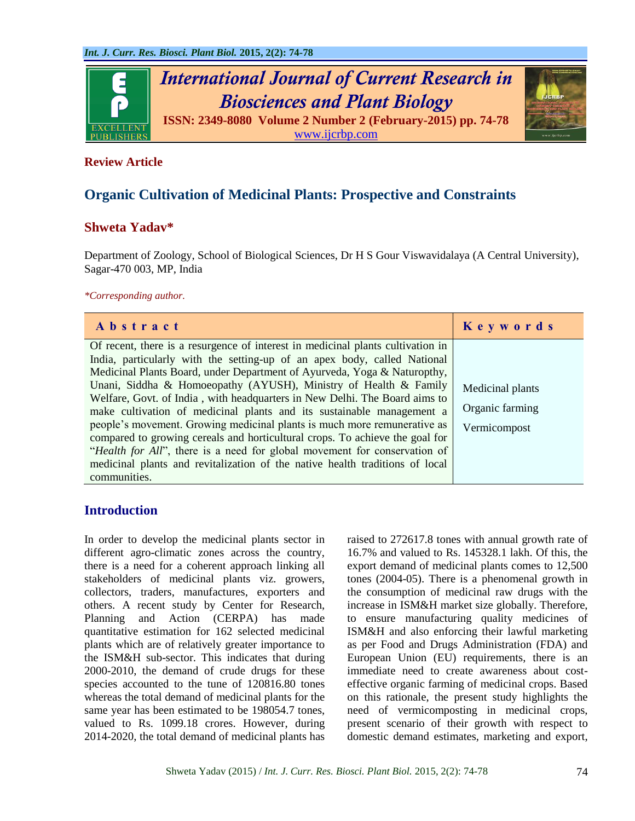

## **Review Article**

# **Organic Cultivation of Medicinal Plants: Prospective and Constraints**

## **Shweta Yadav\***

Department of Zoology, School of Biological Sciences, Dr H S Gour Viswavidalaya (A Central University), Sagar-470 003, MP, India

*\*Corresponding author.*

| Abstract                                                                                                                                                                                                                                                                                                                                                                                                                                                                                                                                                                                                                                                                                                                                                                                                    | Keywords                                            |
|-------------------------------------------------------------------------------------------------------------------------------------------------------------------------------------------------------------------------------------------------------------------------------------------------------------------------------------------------------------------------------------------------------------------------------------------------------------------------------------------------------------------------------------------------------------------------------------------------------------------------------------------------------------------------------------------------------------------------------------------------------------------------------------------------------------|-----------------------------------------------------|
| Of recent, there is a resurgence of interest in medicinal plants cultivation in<br>India, particularly with the setting-up of an apex body, called National<br>Medicinal Plants Board, under Department of Ayurveda, Yoga & Naturopthy,<br>Unani, Siddha & Homoeopathy (AYUSH), Ministry of Health & Family<br>Welfare, Govt. of India, with headquarters in New Delhi. The Board aims to<br>make cultivation of medicinal plants and its sustainable management a<br>people's movement. Growing medicinal plants is much more remunerative as<br>compared to growing cereals and horticultural crops. To achieve the goal for<br>"Health for All", there is a need for global movement for conservation of<br>medicinal plants and revitalization of the native health traditions of local<br>communities. | Medicinal plants<br>Organic farming<br>Vermicompost |

## **Introduction**

In order to develop the medicinal plants sector in different agro-climatic zones across the country, there is a need for a coherent approach linking all stakeholders of medicinal plants viz. growers, collectors, traders, manufactures, exporters and others. A recent study by Center for Research, Planning and Action (CERPA) has made quantitative estimation for 162 selected medicinal plants which are of relatively greater importance to the ISM&H sub-sector. This indicates that during 2000-2010, the demand of crude drugs for these species accounted to the tune of 120816.80 tones whereas the total demand of medicinal plants for the same year has been estimated to be 198054.7 tones, valued to Rs. 1099.18 crores. However, during 2014-2020, the total demand of medicinal plants has raised to 272617.8 tones with annual growth rate of 16.7% and valued to Rs. 145328.1 lakh. Of this, the export demand of medicinal plants comes to 12,500 tones (2004-05). There is a phenomenal growth in the consumption of medicinal raw drugs with the increase in ISM&H market size globally. Therefore, to ensure manufacturing quality medicines of ISM&H and also enforcing their lawful marketing as per Food and Drugs Administration (FDA) and European Union (EU) requirements, there is an immediate need to create awareness about costeffective organic farming of medicinal crops. Based on this rationale, the present study highlights the need of vermicomposting in medicinal crops, present scenario of their growth with respect to domestic demand estimates, marketing and export,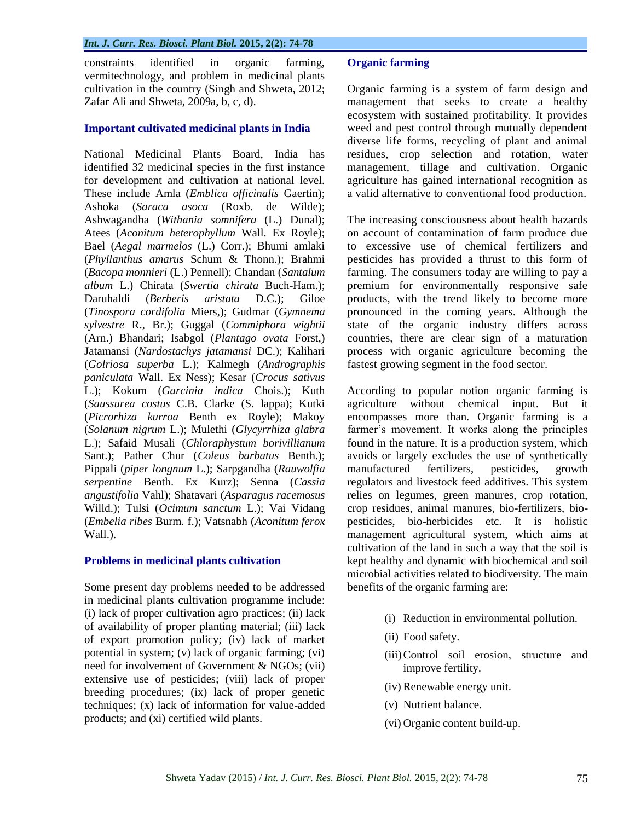constraints identified in organic farming, vermitechnology, and problem in medicinal plants cultivation in the country (Singh and Shweta, 2012; Zafar Ali and Shweta, 2009a, b, c, d).

#### **Important cultivated medicinal plants in India**

National Medicinal Plants Board, India has identified 32 medicinal species in the first instance for development and cultivation at national level. These include Amla (*Emblica officinalis* Gaertin); Ashoka (*Saraca asoca* (Roxb. de Wilde); Ashwagandha (*Withania somnifera* (L.) Dunal); Atees (*Aconitum heterophyllum* Wall. Ex Royle); Bael (*Aegal marmelos* (L.) Corr.); Bhumi amlaki (*Phyllanthus amarus* Schum & Thonn.); Brahmi (*Bacopa monnieri* (L.) Pennell); Chandan (*Santalum album* L.) Chirata (*Swertia chirata* Buch-Ham.); Daruhaldi (*Berberis aristata* D.C.); Giloe (*Tinospora cordifolia* Miers,); Gudmar (*Gymnema sylvestre* R., Br.); Guggal (*Commiphora wightii* (Arn.) Bhandari; Isabgol (*Plantago ovata* Forst,) Jatamansi (*Nardostachys jatamansi* DC.); Kalihari (*Golriosa superba* L.); Kalmegh (*Andrographis paniculata* Wall. Ex Ness); Kesar (*Crocus sativus* L.); Kokum (*Garcinia indica* Chois.); Kuth (*Saussurea costus* C.B. Clarke (S. lappa); Kutki (*Picrorhiza kurroa* Benth ex Royle); Makoy (*Solanum nigrum* L.); Mulethi (*Glycyrrhiza glabra* L.); Safaid Musali (*Chloraphystum borivillianum* Sant.); Pather Chur (*Coleus barbatus* Benth.); Pippali (*piper longnum* L.); Sarpgandha (*Rauwolfia serpentine* Benth. Ex Kurz); Senna (*Cassia angustifolia* Vahl); Shatavari (*Asparagus racemosus* Willd.); Tulsi (*Ocimum sanctum* L.); Vai Vidang (*Embelia ribes* Burm. f.); Vatsnabh (*Aconitum ferox* Wall.).

#### **Problems in medicinal plants cultivation**

Some present day problems needed to be addressed in medicinal plants cultivation programme include: (i) lack of proper cultivation agro practices; (ii) lack of availability of proper planting material; (iii) lack of export promotion policy; (iv) lack of market potential in system; (v) lack of organic farming; (vi) need for involvement of Government & NGOs; (vii) extensive use of pesticides; (viii) lack of proper breeding procedures; (ix) lack of proper genetic techniques; (x) lack of information for value-added products; and (xi) certified wild plants.

#### **Organic farming**

Organic farming is a system of farm design and management that seeks to create a healthy ecosystem with sustained profitability. It provides weed and pest control through mutually dependent diverse life forms, recycling of plant and animal residues, crop selection and rotation, water management, tillage and cultivation. Organic agriculture has gained international recognition as a valid alternative to conventional food production.

The increasing consciousness about health hazards on account of contamination of farm produce due to excessive use of chemical fertilizers and pesticides has provided a thrust to this form of farming. The consumers today are willing to pay a premium for environmentally responsive safe products, with the trend likely to become more pronounced in the coming years. Although the state of the organic industry differs across countries, there are clear sign of a maturation process with organic agriculture becoming the fastest growing segment in the food sector.

According to popular notion organic farming is agriculture without chemical input. But it encompasses more than. Organic farming is a farmer's movement. It works along the principles found in the nature. It is a production system, which avoids or largely excludes the use of synthetically manufactured fertilizers, pesticides, growth regulators and livestock feed additives. This system relies on legumes, green manures, crop rotation, crop residues, animal manures, bio-fertilizers, biopesticides, bio-herbicides etc. It is holistic management agricultural system, which aims at cultivation of the land in such a way that the soil is kept healthy and dynamic with biochemical and soil microbial activities related to biodiversity. The main benefits of the organic farming are:

- (i) Reduction in environmental pollution.
- (ii) Food safety.
- (iii)Control soil erosion, structure and improve fertility.
- (iv) Renewable energy unit.
- (v) Nutrient balance.
- (vi) Organic content build-up.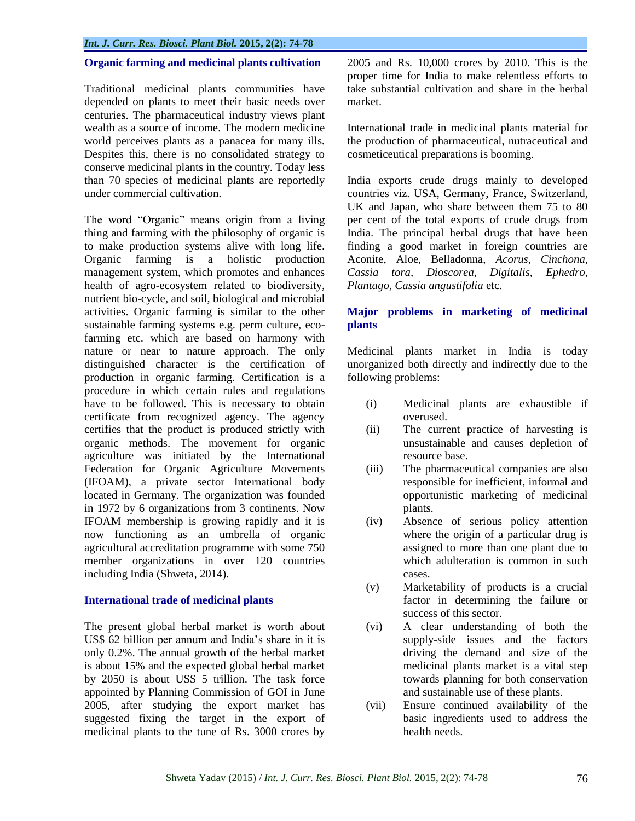## **Organic farming and medicinal plants cultivation**

Traditional medicinal plants communities have depended on plants to meet their basic needs over centuries. The pharmaceutical industry views plant wealth as a source of income. The modern medicine world perceives plants as a panacea for many ills. Despites this, there is no consolidated strategy to conserve medicinal plants in the country. Today less than 70 species of medicinal plants are reportedly under commercial cultivation.

The word "Organic" means origin from a living thing and farming with the philosophy of organic is to make production systems alive with long life. Organic farming is a holistic production management system, which promotes and enhances health of agro-ecosystem related to biodiversity, nutrient bio-cycle, and soil, biological and microbial activities. Organic farming is similar to the other sustainable farming systems e.g. perm culture, ecofarming etc. which are based on harmony with nature or near to nature approach. The only distinguished character is the certification of production in organic farming. Certification is a procedure in which certain rules and regulations have to be followed. This is necessary to obtain certificate from recognized agency. The agency certifies that the product is produced strictly with organic methods. The movement for organic agriculture was initiated by the International Federation for Organic Agriculture Movements (IFOAM), a private sector International body located in Germany. The organization was founded in 1972 by 6 organizations from 3 continents. Now IFOAM membership is growing rapidly and it is now functioning as an umbrella of organic agricultural accreditation programme with some 750 member organizations in over 120 countries including India (Shweta*,* 2014).

#### **International trade of medicinal plants**

The present global herbal market is worth about US\$ 62 billion per annum and India"s share in it is only 0.2%. The annual growth of the herbal market is about 15% and the expected global herbal market by 2050 is about US\$ 5 trillion. The task force appointed by Planning Commission of GOI in June 2005, after studying the export market has suggested fixing the target in the export of medicinal plants to the tune of Rs. 3000 crores by 2005 and Rs. 10,000 crores by 2010. This is the proper time for India to make relentless efforts to take substantial cultivation and share in the herbal market.

International trade in medicinal plants material for the production of pharmaceutical, nutraceutical and cosmeticeutical preparations is booming.

India exports crude drugs mainly to developed countries viz. USA, Germany, France, Switzerland, UK and Japan, who share between them 75 to 80 per cent of the total exports of crude drugs from India. The principal herbal drugs that have been finding a good market in foreign countries are Aconite, Aloe, Belladonna, *Acorus, Cinchona, Cassia tora, Dioscorea, Digitalis, Ephedro, Plantago, Cassia angustifolia* etc.

## **Major problems in marketing of medicinal plants**

Medicinal plants market in India is today unorganized both directly and indirectly due to the following problems:

- (i) Medicinal plants are exhaustible if overused.
- (ii) The current practice of harvesting is unsustainable and causes depletion of resource base.
- (iii) The pharmaceutical companies are also responsible for inefficient, informal and opportunistic marketing of medicinal plants.
- (iv) Absence of serious policy attention where the origin of a particular drug is assigned to more than one plant due to which adulteration is common in such cases.
- (v) Marketability of products is a crucial factor in determining the failure or success of this sector.
- (vi) A clear understanding of both the supply-side issues and the factors driving the demand and size of the medicinal plants market is a vital step towards planning for both conservation and sustainable use of these plants.
- (vii) Ensure continued availability of the basic ingredients used to address the health needs.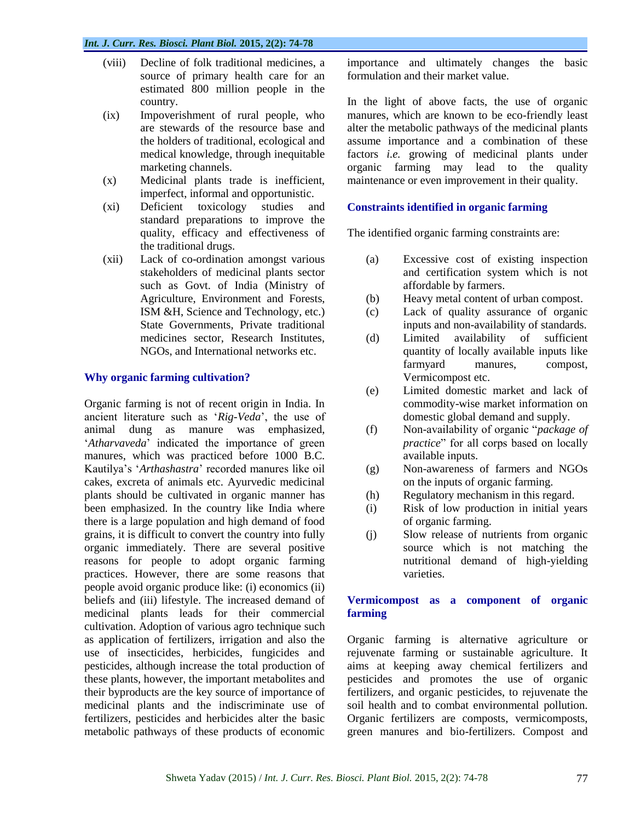- (viii) Decline of folk traditional medicines, a source of primary health care for an estimated 800 million people in the country.
- (ix) Impoverishment of rural people, who are stewards of the resource base and the holders of traditional, ecological and medical knowledge, through inequitable marketing channels.
- (x) Medicinal plants trade is inefficient, imperfect, informal and opportunistic.
- (xi) Deficient toxicology studies and standard preparations to improve the quality, efficacy and effectiveness of the traditional drugs.
- (xii) Lack of co-ordination amongst various stakeholders of medicinal plants sector such as Govt. of India (Ministry of Agriculture, Environment and Forests, ISM &H, Science and Technology, etc.) State Governments, Private traditional medicines sector, Research Institutes, NGOs, and International networks etc.

## **Why organic farming cultivation?**

Organic farming is not of recent origin in India. In ancient literature such as "*Rig-Veda*", the use of animal dung as manure was emphasized, "*Atharvaveda*" indicated the importance of green manures, which was practiced before 1000 B.C. Kautilya"s "*Arthashastra*" recorded manures like oil cakes, excreta of animals etc. Ayurvedic medicinal plants should be cultivated in organic manner has been emphasized. In the country like India where there is a large population and high demand of food grains, it is difficult to convert the country into fully organic immediately. There are several positive reasons for people to adopt organic farming practices. However, there are some reasons that people avoid organic produce like: (i) economics (ii) beliefs and (iii) lifestyle. The increased demand of medicinal plants leads for their commercial cultivation. Adoption of various agro technique such as application of fertilizers, irrigation and also the use of insecticides, herbicides, fungicides and pesticides, although increase the total production of these plants, however, the important metabolites and their byproducts are the key source of importance of medicinal plants and the indiscriminate use of fertilizers, pesticides and herbicides alter the basic metabolic pathways of these products of economic

importance and ultimately changes the basic formulation and their market value.

In the light of above facts, the use of organic manures, which are known to be eco-friendly least alter the metabolic pathways of the medicinal plants assume importance and a combination of these factors *i.e.* growing of medicinal plants under organic farming may lead to the quality maintenance or even improvement in their quality.

#### **Constraints identified in organic farming**

The identified organic farming constraints are:

- (a) Excessive cost of existing inspection and certification system which is not affordable by farmers.
- (b) Heavy metal content of urban compost.
- (c) Lack of quality assurance of organic inputs and non-availability of standards.
- (d) Limited availability of sufficient quantity of locally available inputs like farmyard manures, compost, Vermicompost etc.
- (e) Limited domestic market and lack of commodity-wise market information on domestic global demand and supply.
- (f) Non-availability of organic "*package of practice*" for all corps based on locally available inputs.
- (g) Non-awareness of farmers and NGOs on the inputs of organic farming.
- (h) Regulatory mechanism in this regard.
- (i) Risk of low production in initial years of organic farming.
- (j) Slow release of nutrients from organic source which is not matching the nutritional demand of high-yielding varieties.

#### **Vermicompost as a component of organic farming**

Organic farming is alternative agriculture or rejuvenate farming or sustainable agriculture. It aims at keeping away chemical fertilizers and pesticides and promotes the use of organic fertilizers, and organic pesticides, to rejuvenate the soil health and to combat environmental pollution. Organic fertilizers are composts, vermicomposts, green manures and bio-fertilizers. Compost and